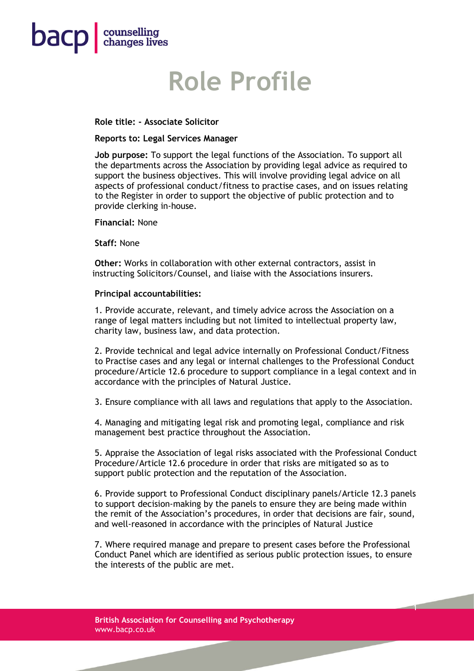

# **Role Profile**

## **Role title: - Associate Solicitor**

#### **Reports to: Legal Services Manager**

**Job purpose:** To support the legal functions of the Association. To support all the departments across the Association by providing legal advice as required to support the business objectives. This will involve providing legal advice on all aspects of professional conduct/fitness to practise cases, and on issues relating to the Register in order to support the objective of public protection and to provide clerking in-house.

**Financial:** None

**Staff:** None

**Other:** Works in collaboration with other external contractors, assist in instructing Solicitors/Counsel, and liaise with the Associations insurers.

#### **Principal accountabilities:**

1. Provide accurate, relevant, and timely advice across the Association on a range of legal matters including but not limited to intellectual property law, charity law, business law, and data protection.

2. Provide technical and legal advice internally on Professional Conduct/Fitness to Practise cases and any legal or internal challenges to the Professional Conduct procedure/Article 12.6 procedure to support compliance in a legal context and in accordance with the principles of Natural Justice.

3. Ensure compliance with all laws and regulations that apply to the Association.

4. Managing and mitigating legal risk and promoting legal, compliance and risk management best practice throughout the Association.

5. Appraise the Association of legal risks associated with the Professional Conduct Procedure/Article 12.6 procedure in order that risks are mitigated so as to support public protection and the reputation of the Association.

6. Provide support to Professional Conduct disciplinary panels/Article 12.3 panels to support decision-making by the panels to ensure they are being made within the remit of the Association's procedures, in order that decisions are fair, sound, and well-reasoned in accordance with the principles of Natural Justice

7. Where required manage and prepare to present cases before the Professional Conduct Panel which are identified as serious public protection issues, to ensure the interests of the public are met.

1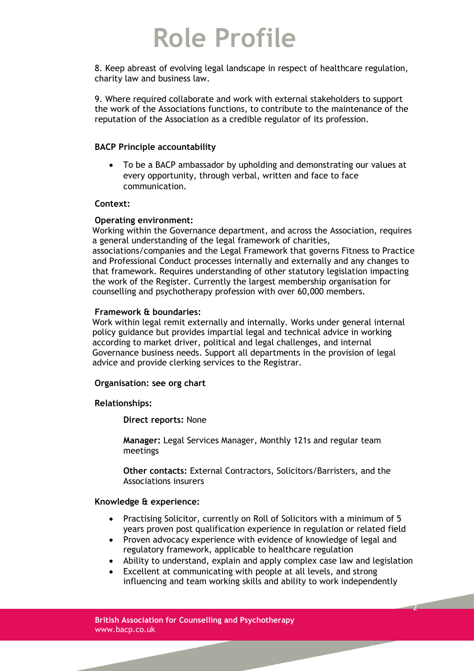# **Role Profile**

8. Keep abreast of evolving legal landscape in respect of healthcare regulation, charity law and business law.

9. Where required collaborate and work with external stakeholders to support the work of the Associations functions, to contribute to the maintenance of the reputation of the Association as a credible regulator of its profession.

## **BACP Principle accountability**

• To be a BACP ambassador by upholding and demonstrating our values at every opportunity, through verbal, written and face to face communication.

#### **Context:**

#### **Operating environment:**

Working within the Governance department, and across the Association, requires a general understanding of the legal framework of charities, associations/companies and the Legal Framework that governs Fitness to Practice and Professional Conduct processes internally and externally and any changes to that framework. Requires understanding of other statutory legislation impacting the work of the Register. Currently the largest membership organisation for counselling and psychotherapy profession with over 60,000 members.

# **Framework & boundaries:**

Work within legal remit externally and internally. Works under general internal policy guidance but provides impartial legal and technical advice in working according to market driver, political and legal challenges, and internal Governance business needs. Support all departments in the provision of legal advice and provide clerking services to the Registrar.

# **Organisation: see org chart**

# **Relationships:**

**Direct reports:** None

**Manager:** Legal Services Manager, Monthly 121s and regular team meetings

**Other contacts:** External Contractors, Solicitors/Barristers, and the Associations insurers

## **Knowledge & experience:**

- Practising Solicitor, currently on Roll of Solicitors with a minimum of 5 years proven post qualification experience in regulation or related field
- Proven advocacy experience with evidence of knowledge of legal and regulatory framework, applicable to healthcare regulation
- Ability to understand, explain and apply complex case law and legislation
- Excellent at communicating with people at all levels, and strong influencing and team working skills and ability to work independently

2